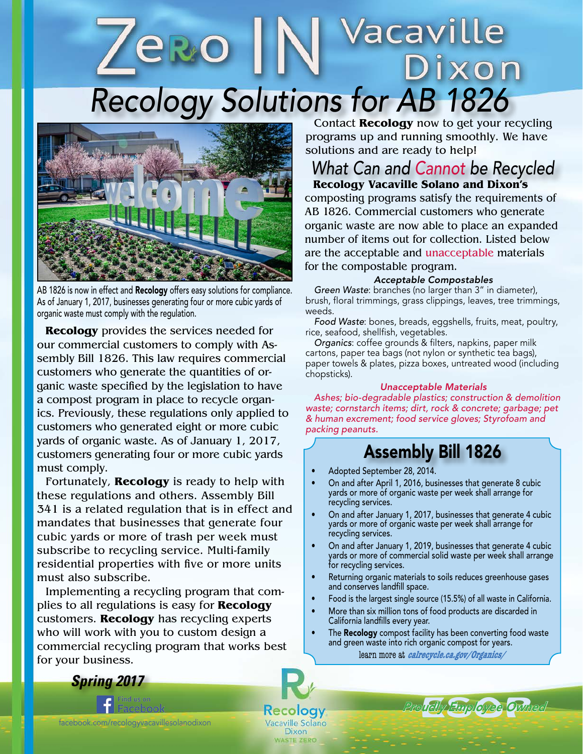# Vacaville *Recology Solutions for AB 1826* ixon



AB 1826 is now in effect and Recology offers easy solutions for compliance. As of January 1, 2017, businesses generating four or more cubic yards of organic waste must comply with the regulation.

**Recology** provides the services needed for our commercial customers to comply with Assembly Bill 1826. This law requires commercial customers who generate the quantities of organic waste specified by the legislation to have a compost program in place to recycle organics. Previously, these regulations only applied to customers who generated eight or more cubic yards of organic waste. As of January 1, 2017, customers generating four or more cubic yards must comply.

Fortunately, **Recology** is ready to help with these regulations and others. Assembly Bill 341 is a related regulation that is in effect and mandates that businesses that generate four cubic yards or more of trash per week must subscribe to recycling service. Multi-family residential properties with five or more units must also subscribe.

Implementing a recycling program that complies to all regulations is easy for **Recology** customers. **Recology** has recycling experts who will work with you to custom design a commercial recycling program that works best for your business.

Contact **Recology** now to get your recycling programs up and running smoothly. We have solutions and are ready to help!

### **Recology Vacaville Solano and Dixon's** *What Can and Cannot be Recycled*

composting programs satisfy the requirements of AB 1826. Commercial customers who generate organic waste are now able to place an expanded number of items out for collection. Listed below are the acceptable and unacceptable materials for the compostable program.

### *Acceptable Compostables*

*Green Waste*: branches (no larger than 3" in diameter), brush, floral trimmings, grass clippings, leaves, tree trimmings, weeds.

*Food Waste*: bones, breads, eggshells, fruits, meat, poultry, rice, seafood, shellfish, vegetables.

*Organics*: coffee grounds & filters, napkins, paper milk cartons, paper tea bags (not nylon or synthetic tea bags), paper towels & plates, pizza boxes, untreated wood (including chopsticks).

#### *Unacceptable Materials*

*Ashes; bio-degradable plastics; construction & demolition waste; cornstarch items; dirt, rock & concrete; garbage; pet & human excrement; food service gloves; Styrofoam and packing peanuts.*

# Assembly Bill 1826

- Adopted September 28, 2014.
- On and after April 1, 2016, businesses that generate 8 cubic yards or more of organic waste per week shall arrange for recycling services.
- On and after January 1, 2017, businesses that generate 4 cubic yards or more of organic waste per week shall arrange for recycling services.
- On and after January 1, 2019, businesses that generate 4 cubic yards or more of commercial solid waste per week shall arrange for recycling services.
- Returning organic materials to soils reduces greenhouse gases and conserves landfill space.
- Food is the largest single source (15.5%) of all waste in California.
- More than six million tons of food products are discarded in California landfills every year.
- The **Recology** compost facility has been converting food waste and green waste into rich organic compost for years.

learn more at **calrecycle.ca.gov/Organics/**

*Spring 2017*

*recologyvallejo.com*

facebook.com/recologyvacavillesolanodixon

logy Vacaville Solano Dixon

**WASTE ZERO**